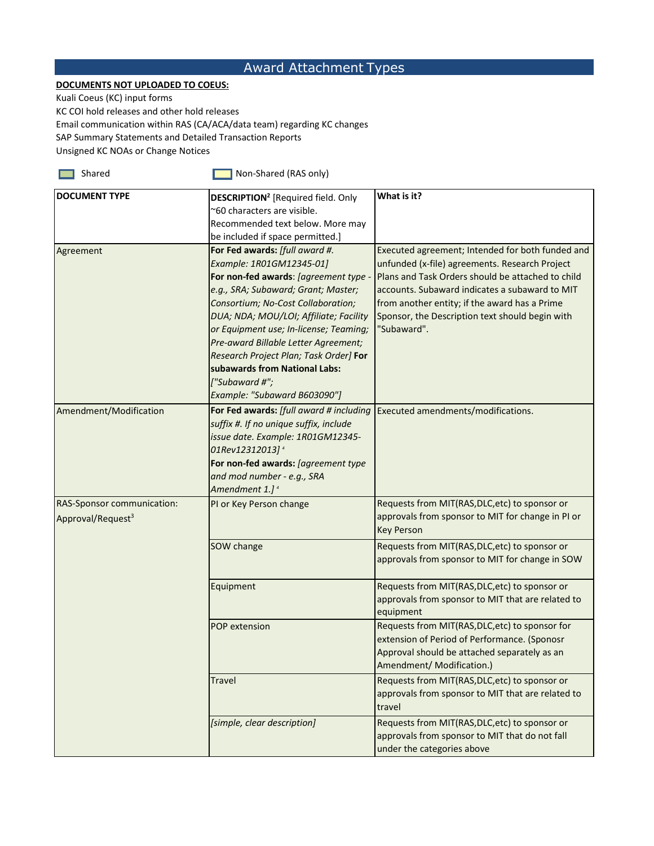## Award Attachment Types

## **DOCUMENTS NOT UPLOADED TO COEUS:**

Kuali Coeus (KC) input forms

KC COI hold releases and other hold releases

Email communication within RAS (CA/ACA/data team) regarding KC changes

SAP Summary Statements and Detailed Transaction Reports

Unsigned KC NOAs or Change Notices

Shared Shared **Non-Shared (RAS only)** 

| <b>DOCUMENT TYPE</b>          | <b>DESCRIPTION<sup>2</sup></b> [Required field. Only | What is it?                                       |
|-------------------------------|------------------------------------------------------|---------------------------------------------------|
|                               | ~60 characters are visible.                          |                                                   |
|                               | Recommended text below. More may                     |                                                   |
|                               | be included if space permitted.]                     |                                                   |
| Agreement                     | For Fed awards: [full award #.                       | Executed agreement; Intended for both funded and  |
|                               | Example: 1R01GM12345-01]                             | unfunded (x-file) agreements. Research Project    |
|                               | For non-fed awards: [agreement type -                | Plans and Task Orders should be attached to child |
|                               | e.g., SRA; Subaward; Grant; Master;                  | accounts. Subaward indicates a subaward to MIT    |
|                               | Consortium; No-Cost Collaboration;                   | from another entity; if the award has a Prime     |
|                               | DUA; NDA; MOU/LOI; Affiliate; Facility               | Sponsor, the Description text should begin with   |
|                               | or Equipment use; In-license; Teaming;               | "Subaward".                                       |
|                               | Pre-award Billable Letter Agreement;                 |                                                   |
|                               | Research Project Plan; Task Order] For               |                                                   |
|                               | subawards from National Labs:                        |                                                   |
|                               | ["Subaward #";                                       |                                                   |
|                               | Example: "Subaward B603090"]                         |                                                   |
| Amendment/Modification        | For Fed awards: [full award # including              | Executed amendments/modifications.                |
|                               | suffix #. If no unique suffix, include               |                                                   |
|                               | issue date. Example: 1R01GM12345-                    |                                                   |
|                               | 01Rev12312013] <sup>4</sup>                          |                                                   |
|                               | For non-fed awards: [agreement type                  |                                                   |
|                               | and mod number - e.g., SRA                           |                                                   |
|                               | Amendment 1.] <sup>4</sup>                           |                                                   |
| RAS-Sponsor communication:    | PI or Key Person change                              | Requests from MIT(RAS, DLC, etc) to sponsor or    |
| Approval/Request <sup>3</sup> |                                                      | approvals from sponsor to MIT for change in PI or |
|                               |                                                      | <b>Key Person</b>                                 |
|                               | SOW change                                           | Requests from MIT(RAS, DLC, etc) to sponsor or    |
|                               |                                                      | approvals from sponsor to MIT for change in SOW   |
|                               | Equipment                                            | Requests from MIT(RAS, DLC, etc) to sponsor or    |
|                               |                                                      | approvals from sponsor to MIT that are related to |
|                               |                                                      | equipment                                         |
|                               | <b>POP</b> extension                                 | Requests from MIT(RAS, DLC, etc) to sponsor for   |
|                               |                                                      | extension of Period of Performance. (Sponosr      |
|                               |                                                      | Approval should be attached separately as an      |
|                               |                                                      | Amendment/ Modification.)                         |
|                               | <b>Travel</b>                                        | Requests from MIT(RAS, DLC, etc) to sponsor or    |
|                               |                                                      | approvals from sponsor to MIT that are related to |
|                               |                                                      | travel                                            |
|                               | [simple, clear description]                          | Requests from MIT(RAS, DLC, etc) to sponsor or    |
|                               |                                                      | approvals from sponsor to MIT that do not fall    |
|                               |                                                      | under the categories above                        |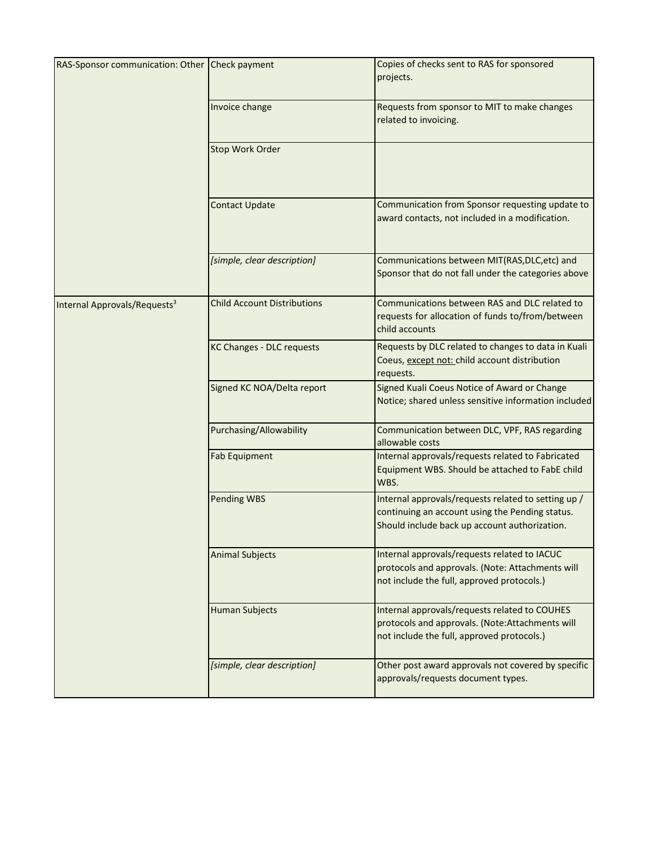| RAS-Sponsor communication: Other Check payment |                                    | Copies of checks sent to RAS for sponsored<br>projects.                                                                                                 |
|------------------------------------------------|------------------------------------|---------------------------------------------------------------------------------------------------------------------------------------------------------|
|                                                | Invoice change                     | Requests from sponsor to MIT to make changes<br>related to invoicing.                                                                                   |
|                                                | Stop Work Order                    |                                                                                                                                                         |
|                                                | <b>Contact Update</b>              | Communication from Sponsor requesting update to<br>award contacts, not included in a modification.                                                      |
|                                                | [simple, clear description]        | Communications between MIT(RAS, DLC, etc) and<br>Sponsor that do not fall under the categories above                                                    |
| Internal Approvals/Requests <sup>3</sup>       | <b>Child Account Distributions</b> | Communications between RAS and DLC related to<br>requests for allocation of funds to/from/between<br>child accounts                                     |
|                                                | <b>KC Changes - DLC requests</b>   | Requests by DLC related to changes to data in Kuali<br>Coeus, except not: child account distribution<br>requests.                                       |
|                                                | Signed KC NOA/Delta report         | Signed Kuali Coeus Notice of Award or Change<br>Notice; shared unless sensitive information included                                                    |
|                                                | Purchasing/Allowability            | Communication between DLC, VPF, RAS regarding<br>allowable costs                                                                                        |
|                                                | <b>Fab Equipment</b>               | Internal approvals/requests related to Fabricated<br>Equipment WBS. Should be attached to FabE child<br>WBS.                                            |
|                                                | <b>Pending WBS</b>                 | Internal approvals/requests related to setting up /<br>continuing an account using the Pending status.<br>Should include back up account authorization. |
|                                                | <b>Animal Subjects</b>             | Internal approvals/requests related to IACUC<br>protocols and approvals. (Note: Attachments will<br>not include the full, approved protocols.)          |
|                                                | <b>Human Subjects</b>              | Internal approvals/requests related to COUHES<br>protocols and approvals. (Note:Attachments will<br>not include the full, approved protocols.)          |
|                                                | [simple, clear description]        | Other post award approvals not covered by specific<br>approvals/requests document types.                                                                |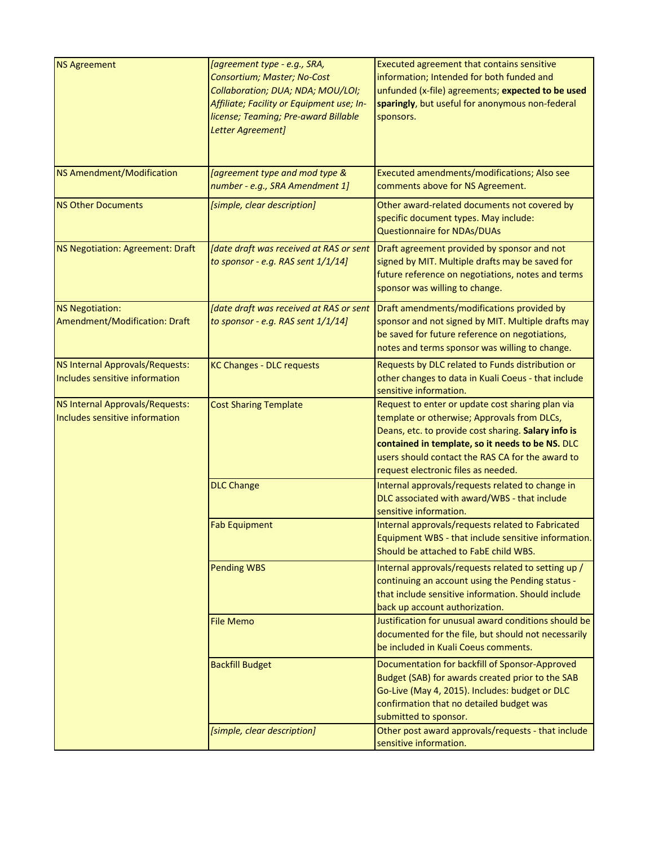| <b>NS Agreement</b>              | [agreement type - e.g., SRA,                     |                                                      |
|----------------------------------|--------------------------------------------------|------------------------------------------------------|
|                                  |                                                  | Executed agreement that contains sensitive           |
|                                  | Consortium; Master; No-Cost                      | information; Intended for both funded and            |
|                                  | Collaboration; DUA; NDA; MOU/LOI;                | unfunded (x-file) agreements; expected to be used    |
|                                  | Affiliate; Facility or Equipment use; In-        | sparingly, but useful for anonymous non-federal      |
|                                  |                                                  |                                                      |
|                                  | license; Teaming; Pre-award Billable             | sponsors.                                            |
|                                  | Letter Agreement]                                |                                                      |
|                                  |                                                  |                                                      |
|                                  |                                                  |                                                      |
|                                  |                                                  |                                                      |
| NS Amendment/Modification        | <i><b>[agreement type and mod type &amp;</b></i> | Executed amendments/modifications; Also see          |
|                                  | number - e.g., SRA Amendment 1]                  | comments above for NS Agreement.                     |
|                                  |                                                  |                                                      |
| <b>NS Other Documents</b>        | [simple, clear description]                      | Other award-related documents not covered by         |
|                                  |                                                  | specific document types. May include:                |
|                                  |                                                  | <b>Questionnaire for NDAs/DUAs</b>                   |
|                                  |                                                  |                                                      |
| NS Negotiation: Agreement: Draft | [date draft was received at RAS or sent          | Draft agreement provided by sponsor and not          |
|                                  | to sponsor - e.g. RAS sent 1/1/14]               | signed by MIT. Multiple drafts may be saved for      |
|                                  |                                                  | future reference on negotiations, notes and terms    |
|                                  |                                                  |                                                      |
|                                  |                                                  | sponsor was willing to change.                       |
|                                  |                                                  |                                                      |
| NS Negotiation:                  | [date draft was received at RAS or sent          | Draft amendments/modifications provided by           |
| Amendment/Modification: Draft    | to sponsor - e.g. RAS sent $1/1/14$ ]            | sponsor and not signed by MIT. Multiple drafts may   |
|                                  |                                                  | be saved for future reference on negotiations,       |
|                                  |                                                  | notes and terms sponsor was willing to change.       |
|                                  |                                                  |                                                      |
| NS Internal Approvals/Requests:  | <b>KC Changes - DLC requests</b>                 | Requests by DLC related to Funds distribution or     |
| Includes sensitive information   |                                                  | other changes to data in Kuali Coeus - that include  |
|                                  |                                                  | sensitive information.                               |
|                                  |                                                  |                                                      |
| NS Internal Approvals/Requests:  | <b>Cost Sharing Template</b>                     | Request to enter or update cost sharing plan via     |
| Includes sensitive information   |                                                  | template or otherwise; Approvals from DLCs,          |
|                                  |                                                  | Deans, etc. to provide cost sharing. Salary info is  |
|                                  |                                                  | contained in template, so it needs to be NS. DLC     |
|                                  |                                                  | users should contact the RAS CA for the award to     |
|                                  |                                                  |                                                      |
|                                  |                                                  | request electronic files as needed.                  |
|                                  | <b>DLC Change</b>                                | Internal approvals/requests related to change in     |
|                                  |                                                  | DLC associated with award/WBS - that include         |
|                                  |                                                  | sensitive information.                               |
|                                  |                                                  |                                                      |
|                                  | <b>Fab Equipment</b>                             | Internal approvals/requests related to Fabricated    |
|                                  |                                                  | Equipment WBS - that include sensitive information.  |
|                                  |                                                  | Should be attached to FabE child WBS.                |
|                                  |                                                  |                                                      |
|                                  | <b>Pending WBS</b>                               | Internal approvals/requests related to setting up /  |
|                                  |                                                  | continuing an account using the Pending status -     |
|                                  |                                                  | that include sensitive information. Should include   |
|                                  |                                                  | back up account authorization.                       |
|                                  | <b>File Memo</b>                                 | Justification for unusual award conditions should be |
|                                  |                                                  |                                                      |
|                                  |                                                  | documented for the file, but should not necessarily  |
|                                  |                                                  | be included in Kuali Coeus comments.                 |
|                                  | <b>Backfill Budget</b>                           | Documentation for backfill of Sponsor-Approved       |
|                                  |                                                  |                                                      |
|                                  |                                                  | Budget (SAB) for awards created prior to the SAB     |
|                                  |                                                  | Go-Live (May 4, 2015). Includes: budget or DLC       |
|                                  |                                                  | confirmation that no detailed budget was             |
|                                  |                                                  | submitted to sponsor.                                |
|                                  |                                                  |                                                      |
|                                  | [simple, clear description]                      | Other post award approvals/requests - that include   |
|                                  |                                                  | sensitive information.                               |